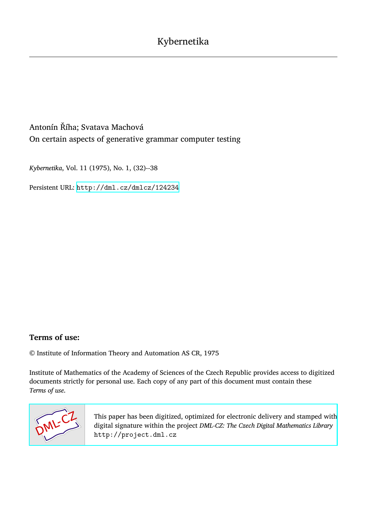# Antonín Říha; Svatava Machová On certain aspects of generative grammar computer testing

*Kybernetika*, Vol. 11 (1975), No. 1, (32)--38

Persistent URL: <http://dml.cz/dmlcz/124234>

### **Terms of use:**

© Institute of Information Theory and Automation AS CR, 1975

Institute of Mathematics of the Academy of Sciences of the Czech Republic provides access to digitized documents strictly for personal use. Each copy of any part of this document must contain these *Terms of use*.



[This paper has been digitized, optimized for electronic delivery and stamped with](http://project.dml.cz) digital signature within the project *DML-CZ: The Czech Digital Mathematics Library* http://project.dml.cz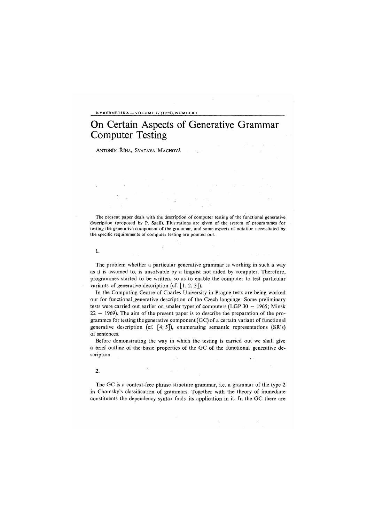#### KYBERNETIKA— VOLUME *11* (1975), NUMBER

## On Certain Aspects of Generative Grammar Computer Testing

ANTONÍN ŘÍHA, SVATAVA MACHOVÁ

The present paper deals with the description of computer testing of the functional generative description (proposed by P. Sgall). Illustrations are given of the system of programmes for testing the generative component of the grammar, and some aspects of notation necessitated by the specific requirements of computer testing are pointed out.

#### 1.

The problem whether a particular generative grammar is working in such a way as it is assumed to, is unsolvable by a linguist not aided by computer. Therefore, programmes started to be written, so as to enable the computer to test particular variants of generative description (cf.  $\lceil 1; 2; 3 \rceil$ ).

In the Computing Centre of Charles University in Prague tests are being worked out for functional generative description of the Czech language. Some preliminary tests were carried out earlier on smaler types of computers (LGP 30 — 1965; Minsk 22 — 1969). The aim of the present paper is to describe the preparation of the programmes for testing the generative component (GC) of a certain variant of functional generative description (cf.  $[4; 5]$ ), enumerating semantic representations (SR's) of sentences.

Before demonstrating the way in which the testing is carried out we shall give a brief outline of the basic properties of the GC of the functional generative description.

#### $\overline{2}$

The GC is a context-free phrase structure grammar, i.e. a grammar of the type 2 in Chomsky's classification of grammars. Together with the theory of immediate constituents the dependency syntax finds its application in it. In the GC there are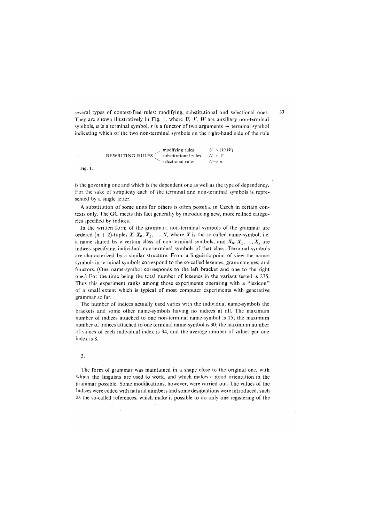several types of context-free rules: modifying, substitutional and selectional ones. They are shown illustratively in Fig. 1, where  $U, V, W$  are auxiliary non-terminal symbols,  $u$  is a terminal symbol,  $r$  is a functor of two arguments  $-$  terminal symbol indicating which of the two non-terminal symbols on the right-hand side of the rule

REWRITING RULES 
$$
\leftarrow
$$
 substituting rules  $U \rightarrow (VrW)$   
selectional rules  $U \rightarrow V$   
selectional rules  $U \rightarrow u$ 

Fig. 1.

is the governing one and which is the dependent one as well as the type of dependency. For the sake of simplicity each of the terminal and non-terminal symbols is represented by a single letter.

A substitution of some units for others is often possible in Czech in certain contexts only. The GC meets this fact generally by introducing new, more refined categories specified by indices.

In the written form of the grammar, non-terminal symbols of the grammar are ordered  $(n + 2)$ -tuples  $X, X_0, X_1, \ldots, X_n$  where  $X$  is the so-called name-symbol, i.e. a name shared by a certain class of non-terminal symbols, and  $X_0, X_1, \ldots, X_n$  are indices specifying individual non-terminal symbols of that class. Terminal symbols are characterized by a similar structure. From a linguistic point of view the namesymbols in terminal symbols correspond to the so-called lexemes, grammatemes, and functors. *(*One name-symbol corresponds to the left bracket and one to the right one.) For the time being the total number of lexemes in the variant tested is 275. Thus this experiment ranks among those experiments operating with a "lexicon" of a small extent which is typical of most computer experiments with generative grammar so far.

The number of indices actually used varies with the individual name-symbols the brackets and some other name-symbols having no indices at all. The maximum number of indices attached to one non-terminal name-symbol is 15; the maximum number of indices attached to one terminal name-symbol is 30; the maximum number of values of each individual index is 94, and the average number of values per one index is 8.

#### **3.**

The form of grammar was maintained in a shape close to the original one, with which the linguists are used to work, and which makes a good orientation in the grammar possible. Some modifications, however, were carried out. The values of the indices were coded with natural numbers and some designations were introduced, such as the so-called references, which make it possible to do only one registering of the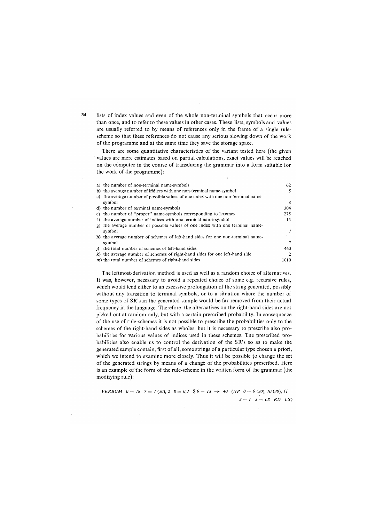34 lists of index values and even of the whole non-terminal symbols that occur more than once, and to refer to these values in other cases. These lists, symbols and values are usually referred to by means of references only in the frame of a single rulescheme so that these references do not cause any serious slowing down of the work of the programme and at the same time they save the storage space.

There are some quantitative characteristics of the variant tested here (the given values are mere estimates based on partial calculations, exact values will be reached on the computer in the course of transducing the grammar into a form suitable for the work of the programme):

|     | a) the number of non-terminal name-symbols                                        | 62   |
|-----|-----------------------------------------------------------------------------------|------|
|     | b) the average number of indices with one non-terminal name-symbol                |      |
|     | c) the average number of possible values of one index with one non-terminal name- |      |
|     | symbol                                                                            | 8    |
|     | d) the number of terminal name-symbols                                            | 304  |
|     | e) the number of "proper" name-symbols corresponding to lexemes                   | 275  |
|     | f) the average number of indices with one terminal name-symbol                    | 13   |
|     | g) the average number of possible values of one index with one terminal name-     |      |
|     | symbol                                                                            |      |
|     | h) the average number of schemes of left-hand sides for one non-terminal name-    |      |
|     | symbol                                                                            |      |
| i). | the total number of schemes of left-hand sides                                    | 460  |
|     | k) the average number of schemes of right-hand sides for one left-hand side       |      |
|     | m) the total number of schemes of right-hand sides                                | 1010 |

The leftmost-derivation method is used as well as a random choice of alternatives. It was, however, necessary to avoid a repeated choice of some e.g. recursive rules, which would lead either to an excessive prolongation of the string generated, possibly without any transition to terminal symbols, or to a situation where the number of some types of SR's in the generated sample would be far removed from their actual frequency in the language. Therefore, the alternatives on the right-hand sides are not picked out at random only, but with a certain prescribed probability. In consequence of the use of rule-schemes it is not possible to prescribe the probabilities only to the schemes of the right-hand sides as wholes, but it is necessary to prescribe also probabilities for various values of indices used in these schemes. The prescribed probabilities also enable us to control the derivation of the SR's so as to make the generated sample contain, first of all, some strings of a particular type chosen a priori, which we intend to examine more closely. Thus it will be possible to change the set of the generated strings by means of a change of the probabilities prescribed. Here is an example of the form of the rule-scheme in the written form of the grammar (the modifying rule):

*VERBUM*  $0 = 18$   $7 = 1 (50), 2$   $8 = 0,1$   $\frac{6}{5} = 13 \rightarrow 40$  (NP  $0 = 9 (20), 10 (30), 11$  $2 = I$   $3 = L8$   $RD$   $LS$ 

 $\lambda$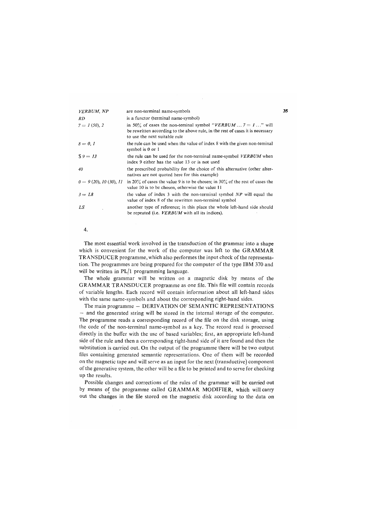| <b>VERBUM, NP</b>       | are non-terminal name-symbols                                                                                                                                                    |
|-------------------------|----------------------------------------------------------------------------------------------------------------------------------------------------------------------------------|
| RD                      | is a functor (terminal name-symbol)                                                                                                                                              |
| $7 = I(50), 2$          | in 50% of cases the non-teminal symbol "VERBUM $7 = 1$ " will<br>be rewritten according to the above rule, in the rest of cases it is necessary<br>to use the next suitable rule |
| $8 = 0, 1$              | the rule can be used when the value of index 8 with the given non-teminal<br>symbol is 0 or 1                                                                                    |
| $S = 13$                | the rule can be used for the non-terminal name-symbol <i>VERBUM</i> when<br>index 9 either has the value 13 or is not used                                                       |
| 40                      | the prescribed probability for the choice of this alternative (other alter-<br>natives are not quoted here for this example)                                                     |
| $0 = 9(20), 10(30), 11$ | in 20% of cases the value 9 is to be chosen; in $30\%$ of the rest of cases the<br>value 10 is to be chosen, otherwise the value 11                                              |
| $3 = L8$                | the value of index 3 with the non-terminal symbol $NP$ will equal the<br>value of index 8 of the rewritten non-terminal symbol                                                   |
| LS                      | another type of reference; in this place the whole left-hand side should<br>be repeated (i.e. <i>VERBUM</i> with all its indices).                                               |
|                         |                                                                                                                                                                                  |

**4.** 

The most essential work involved in the transduction of the grammar into a shape which is convenient for the work of the computer was left to the GRAMMAR TRANSDUCER programme, which also performes the input check of the representation. The programmes are being prepared for the computer of the type IBM 370 and will be written in PL/1 programming language.

The whole grammar will be written on a magnetic disk by means of the GRAMMAR TRANSDUCER programme as one file. This file will contain records of variable lengths. Each record will contain information about all left-hand sides with the same name-symbols and about the corresponding right-hand sides.

The main programme - DERIVATION OF SEMANTIC REPRESENTATIONS — and the generated string will be stored in the internal storage of the computer. The programme reads a corresponding record of the file on the disk storage, using the code of the non-terminal name-symbol as a key. The record read is processed directly in the buffer with the use of based variables; first, an appropriate left-hand side of the rule and then a corresponding right-hand side of it are found and then the substitution is carried out. On the output of the programme there will be two output files containing generated semantic representations. One of them will be recorded on the magnetic tape and will serve as an input for the next (transductive) component of the generative system, the other will be a file to be printed and to serve for checking up the results.

Possible changes and corrections of the rules of the grammar will be carried out by means of the programme called GRAMMAR MODIFIER, which will carry out the changes in the file stored on the magnetic disk according to the data on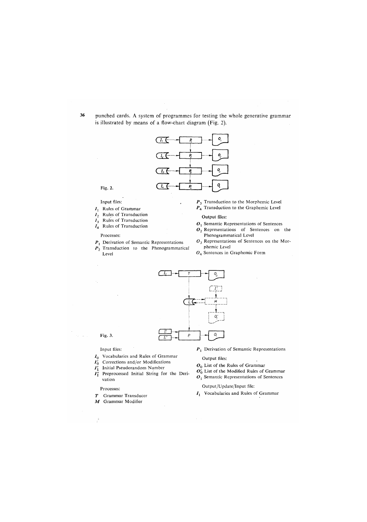36 punched cards. A system of programmes for testing the whole generative grammar is illustrated by means of a flow-chart diagram *(*Fig. 2).



Fig. 2.

Input files:

- $I_1$  Rules of Grammar
- *12* Rules of Transduction
- *13* Rules of Transduction
- $I_4$  Rules of Transduction

Processes:

- $P_1$  Derivation of Semantic Representations
- *P2* Transduction to the Phenogrammatical Level

 $P<sub>3</sub>$  Transduction to the Morphemic Level

- $P_4$  Transduction to the Graphemic Level
- Output files:
- $O<sub>1</sub>$  Semantic Representations of Sentences
- $\mathbf{0}_2$  Representations of Sentences on the Phenogrammatical Level
- *03* Representations of Sentences on the Morphemic Level
- $O<sub>4</sub>$  Sentences in Graphemic Form



Fig. 3.

#### Input files:

- $I_0$  Vocabularies and Rules of Grammar
- $I_0'$ Corrections and/or Modifications
- *I[* Initial Pseudorandom Number
- *I'{* Preprocessed Initial String for the Derivation

Processes:

- *T* Grammar Transducer
- *M* Grammar Modifier
- *Pr* Derivation of Semantic Representations
- Output files:
- $O<sub>0</sub>$  List of the Rules of Grammar
- $O_0^7$  List of the Modified Rules of Grammar
- $O<sub>1</sub>$  Semantic Representations of Sentences

Output/Update/Input file:

 $I_1$  Vocabularies and Rules of Grammar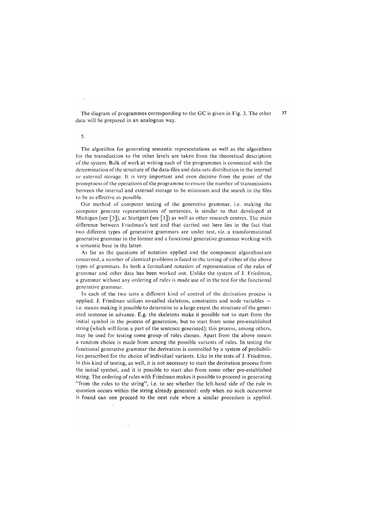The diagram of programmes corresponding to the GC is given in Fig. 3. The other data will be prepared in an analogous way.

5.

The algorithm for generating semantic representations as well as the algorithms for the transduction to the other levels are taken from the theoretical description of the system. Bulk of work at writing each of the programmes is connected with the determination of the structure of the data-files and data-sets distribution in the internal or external storage. It is very important and even decisive from the point of the promptness of the operations of the programme to ensure the number of transmissions between the internal and external storage to be minimum and the search in the files to be as effective as possible.

Our method of computer testing of the generative grammar, i.e. making the computer generate representations of sentences, is similar to that developed at Michigan (see [3]), at Stuttgart (see [1]) as well as other research centres. The main difference between Friedman's test and that carried out here lies in the fact that two different types of generative grammars are under test, viz. a transformational generative grammar in the former and a functional generative grammar working with a semantic base in the latter.

As far as the questions of notation applied and the component algorithms are concerned, a number of identical problems is faced in the testing of either of the above types of grammars. In both a formalized notation of representation of the rules of grammar and other data has been worked out. Unlike the system of J. Friedman, a grammar without any ordering of rules is made use of in the test for the functional generative grammar.

In each of the two tests a different kind of control of the derivation process is applied. J. Friedman utilizes so-called skeletons, constraints and node variables i.e. means making it possible to determine to a large extent the structure of the generated sentence in advance. E.g. the skeletons make it possible not to start from the initial symbol in the process of generation, but to start from some pre-established string (which will form a part of the sentence generated); this process, among others, may be used for testing some group of rules chosen. Apart from the above means a random choice is made from among the possible variants of rules. In testing the functional generative grammar the derivation is controlled by a system of probabilities prescribed for the choice of individual variants. Like in the tests of J. Friedman, in this kind of testing, as well, it is not necessary to start the derivation process from the initial symbol, and it is possible to start also from some other pre-established string. The ordering of rules with Friedman makes it possible to proceed in generating "from the rules to the string", i.e. to see whether the left-hand side of the rule in question occurs within the string already generated: only when no such occurrence is found can one proceed to the next rule where a similar procedure is applied.